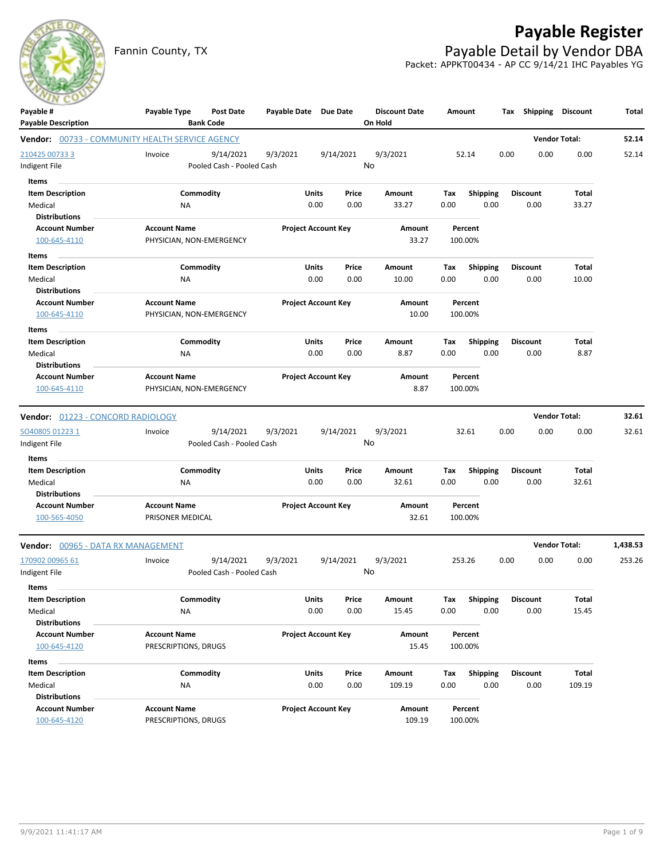

## **Payable Register**

Fannin County, TX **Payable Detail by Vendor DBA** Packet: APPKT00434 - AP CC 9/14/21 IHC Payables YG

| Payable #<br><b>Payable Description</b>                       | Payable Type                                    | <b>Post Date</b><br><b>Bank Code</b>   | Payable Date Due Date |                            |               | <b>Discount Date</b><br>On Hold | Amount      |                         |      | Tax Shipping            | <b>Discount</b>      | Total    |
|---------------------------------------------------------------|-------------------------------------------------|----------------------------------------|-----------------------|----------------------------|---------------|---------------------------------|-------------|-------------------------|------|-------------------------|----------------------|----------|
| Vendor: 00733 - COMMUNITY HEALTH SERVICE AGENCY               |                                                 |                                        |                       |                            |               |                                 |             |                         |      |                         | <b>Vendor Total:</b> | 52.14    |
| 210425 00733 3<br>ndigent File                                | Invoice                                         | 9/14/2021<br>Pooled Cash - Pooled Cash | 9/3/2021              | 9/14/2021                  |               | 9/3/2021<br>No                  |             | 52.14                   | 0.00 | 0.00                    | 0.00                 | 52.14    |
| Items<br><b>Item Description</b>                              |                                                 | Commodity                              |                       | Units                      | Price         | Amount                          | Тах         | <b>Shipping</b>         |      | <b>Discount</b>         | Total                |          |
| Medical<br><b>Distributions</b>                               | ΝA                                              |                                        |                       | 0.00                       | 0.00          | 33.27                           | 0.00        | 0.00                    |      | 0.00                    | 33.27                |          |
| <b>Account Number</b><br>100-645-4110                         | <b>Account Name</b><br>PHYSICIAN, NON-EMERGENCY |                                        |                       | <b>Project Account Key</b> |               | Amount<br>33.27                 |             | Percent<br>100.00%      |      |                         |                      |          |
| Items                                                         |                                                 |                                        |                       |                            |               |                                 |             |                         |      |                         |                      |          |
| <b>Item Description</b>                                       |                                                 | Commodity                              |                       | Units                      | Price         | Amount                          | Tax         | <b>Shipping</b>         |      | <b>Discount</b>         | Total                |          |
| Medical<br><b>Distributions</b>                               | ΝA                                              |                                        |                       | 0.00                       | 0.00          | 10.00                           | 0.00        | 0.00                    |      | 0.00                    | 10.00                |          |
| <b>Account Number</b><br>100-645-4110                         | <b>Account Name</b><br>PHYSICIAN, NON-EMERGENCY |                                        |                       | <b>Project Account Key</b> |               | Amount<br>10.00                 |             | Percent<br>100.00%      |      |                         |                      |          |
| Items<br><b>Item Description</b><br>Medical                   | NA                                              | Commodity                              |                       | Units<br>0.00              | Price<br>0.00 | Amount<br>8.87                  | Tax<br>0.00 | <b>Shipping</b><br>0.00 |      | <b>Discount</b><br>0.00 | Total<br>8.87        |          |
| <b>Distributions</b><br><b>Account Number</b><br>100-645-4110 | <b>Account Name</b><br>PHYSICIAN, NON-EMERGENCY |                                        |                       | <b>Project Account Key</b> |               | Amount<br>8.87                  |             | Percent<br>100.00%      |      |                         |                      |          |
| Vendor: 01223 - CONCORD RADIOLOGY                             |                                                 |                                        |                       |                            |               |                                 |             |                         |      |                         | <b>Vendor Total:</b> | 32.61    |
| SO40805 01223 1<br>Indigent File                              | Invoice                                         | 9/14/2021<br>Pooled Cash - Pooled Cash | 9/3/2021              | 9/14/2021                  |               | 9/3/2021<br>No                  |             | 32.61                   | 0.00 | 0.00                    | 0.00                 | 32.61    |
| Items<br><b>Item Description</b>                              |                                                 | Commodity                              |                       | Units                      | Price         | Amount                          | Tax         | <b>Shipping</b>         |      | <b>Discount</b>         | Total                |          |
| Medical<br><b>Distributions</b>                               | NA                                              |                                        |                       | 0.00                       | 0.00          | 32.61                           | 0.00        | 0.00                    |      | 0.00                    | 32.61                |          |
| <b>Account Number</b><br>100-565-4050                         | <b>Account Name</b><br>PRISONER MEDICAL         |                                        |                       | <b>Project Account Key</b> |               | Amount<br>32.61                 |             | Percent<br>100.00%      |      |                         |                      |          |
| Vendor: 00965 - DATA RX MANAGEMENT                            |                                                 |                                        |                       |                            |               |                                 |             |                         |      |                         | <b>Vendor Total:</b> | 1,438.53 |
| 170902 00965 61<br>Indigent File                              | Invoice                                         | 9/14/2021<br>Pooled Cash - Pooled Cash | 9/3/2021              | 9/14/2021                  |               | 9/3/2021<br>No                  |             | 253.26                  | 0.00 | 0.00                    | 0.00                 | 253.26   |
| ltems                                                         |                                                 |                                        |                       |                            |               |                                 |             |                         |      |                         |                      |          |
| <b>Item Description</b>                                       |                                                 | Commodity                              |                       | <b>Units</b>               | Price         | Amount                          | Tax         | Shipping                |      | <b>Discount</b>         | Total                |          |
| Medical<br><b>Distributions</b>                               | NA                                              |                                        |                       | 0.00                       | 0.00          | 15.45                           | 0.00        | 0.00                    |      | 0.00                    | 15.45                |          |
| <b>Account Number</b><br>100-645-4120                         | <b>Account Name</b><br>PRESCRIPTIONS, DRUGS     |                                        |                       | <b>Project Account Key</b> |               | Amount<br>15.45                 |             | Percent<br>100.00%      |      |                         |                      |          |
|                                                               |                                                 |                                        |                       |                            |               |                                 |             |                         |      |                         |                      |          |
| Items                                                         |                                                 |                                        |                       |                            |               |                                 |             |                         |      |                         |                      |          |
| <b>Item Description</b><br>Medical                            | NA                                              | Commodity                              |                       | <b>Units</b><br>0.00       | Price<br>0.00 | Amount<br>109.19                | Tax<br>0.00 | Shipping<br>0.00        |      | <b>Discount</b><br>0.00 | Total<br>109.19      |          |
| <b>Distributions</b>                                          |                                                 |                                        |                       |                            |               |                                 |             |                         |      |                         |                      |          |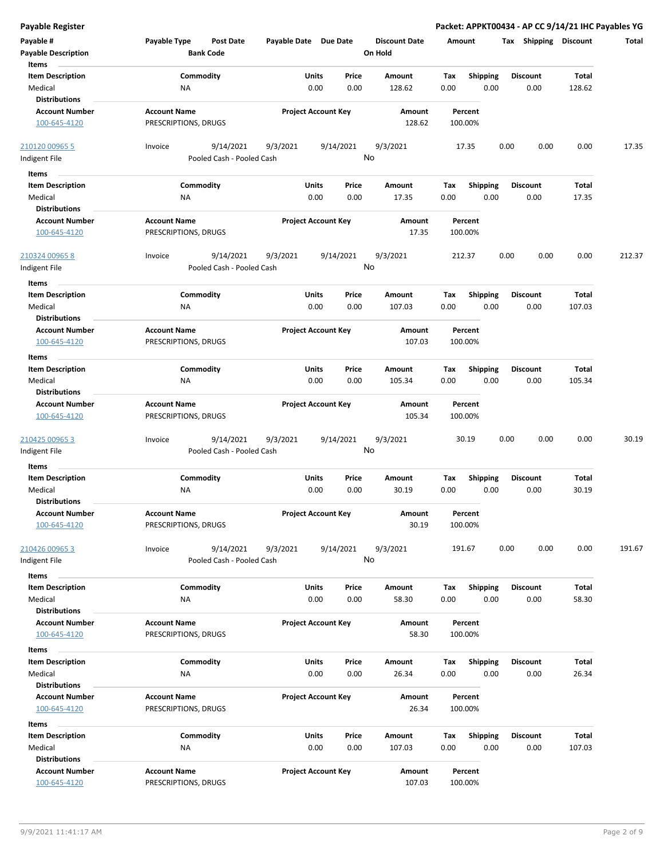| Payable #                             | Payable Type<br><b>Post Date</b>            | Payable Date Due Date      |           | <b>Discount Date</b> | Amount  |                 | Shipping<br>Tax | <b>Discount</b> | Total  |
|---------------------------------------|---------------------------------------------|----------------------------|-----------|----------------------|---------|-----------------|-----------------|-----------------|--------|
| <b>Payable Description</b>            | <b>Bank Code</b>                            |                            |           | On Hold              |         |                 |                 |                 |        |
| Items                                 |                                             |                            |           |                      |         |                 |                 |                 |        |
| <b>Item Description</b>               | Commodity                                   | Units                      | Price     | Amount               | Tax     | Shipping        | <b>Discount</b> | Total           |        |
| Medical                               | ΝA                                          | 0.00                       | 0.00      | 128.62               | 0.00    | 0.00            | 0.00            | 128.62          |        |
| <b>Distributions</b>                  |                                             |                            |           |                      |         |                 |                 |                 |        |
| <b>Account Number</b>                 | <b>Account Name</b>                         | <b>Project Account Key</b> |           | Amount               |         | Percent         |                 |                 |        |
| 100-645-4120                          | PRESCRIPTIONS, DRUGS                        |                            |           | 128.62               | 100.00% |                 |                 |                 |        |
| 210120 00965 5                        | 9/14/2021<br>Invoice                        | 9/3/2021                   | 9/14/2021 | 9/3/2021             | 17.35   |                 | 0.00<br>0.00    | 0.00            | 17.35  |
| ndigent File                          | Pooled Cash - Pooled Cash                   |                            |           | No                   |         |                 |                 |                 |        |
| Items                                 |                                             |                            |           |                      |         |                 |                 |                 |        |
|                                       |                                             |                            |           |                      |         |                 |                 |                 |        |
| <b>Item Description</b>               | Commodity                                   | <b>Units</b>               | Price     | Amount               | Tax     | <b>Shipping</b> | <b>Discount</b> | Total           |        |
| Medical                               | <b>NA</b>                                   | 0.00                       | 0.00      | 17.35                | 0.00    | 0.00            | 0.00            | 17.35           |        |
| <b>Distributions</b>                  |                                             |                            |           |                      |         |                 |                 |                 |        |
| <b>Account Number</b><br>100-645-4120 | <b>Account Name</b><br>PRESCRIPTIONS, DRUGS | <b>Project Account Key</b> |           | Amount<br>17.35      | 100.00% | Percent         |                 |                 |        |
| 210324 00965 8                        | 9/14/2021<br>Invoice                        | 9/3/2021                   | 9/14/2021 | 9/3/2021             | 212.37  |                 | 0.00<br>0.00    | 0.00            | 212.37 |
| Indigent File                         | Pooled Cash - Pooled Cash                   |                            |           | No                   |         |                 |                 |                 |        |
| Items                                 |                                             |                            |           |                      |         |                 |                 |                 |        |
|                                       |                                             |                            |           |                      |         |                 |                 |                 |        |
| <b>Item Description</b>               | Commodity                                   | Units                      | Price     | Amount               | Tax     | <b>Shipping</b> | Discount        | Total           |        |
| Medical                               | <b>NA</b>                                   | 0.00                       | 0.00      | 107.03               | 0.00    | 0.00            | 0.00            | 107.03          |        |
| <b>Distributions</b>                  |                                             |                            |           |                      |         |                 |                 |                 |        |
| <b>Account Number</b>                 | <b>Account Name</b>                         | <b>Project Account Key</b> |           | Amount               |         | Percent         |                 |                 |        |
| 100-645-4120                          | PRESCRIPTIONS, DRUGS                        |                            |           | 107.03               | 100.00% |                 |                 |                 |        |
| Items                                 |                                             |                            |           |                      |         |                 |                 |                 |        |
| <b>Item Description</b>               | Commodity                                   | Units                      | Price     | Amount               | Tax     | Shipping        | <b>Discount</b> | Total           |        |
| Medical                               | ΝA                                          | 0.00                       | 0.00      | 105.34               | 0.00    | 0.00            | 0.00            | 105.34          |        |
| <b>Distributions</b>                  |                                             |                            |           |                      |         |                 |                 |                 |        |
| <b>Account Number</b>                 | <b>Account Name</b>                         | <b>Project Account Key</b> |           | Amount               |         | Percent         |                 |                 |        |
| 100-645-4120                          | PRESCRIPTIONS, DRUGS                        |                            |           | 105.34               | 100.00% |                 |                 |                 |        |
|                                       |                                             |                            |           |                      |         |                 |                 |                 |        |
| 210425 00965 3                        | 9/14/2021<br>Invoice                        | 9/3/2021                   | 9/14/2021 | 9/3/2021             |         | 30.19           | 0.00<br>0.00    | 0.00            | 30.19  |
| Indigent File                         | Pooled Cash - Pooled Cash                   |                            |           | No                   |         |                 |                 |                 |        |
| Items                                 |                                             |                            |           |                      |         |                 |                 |                 |        |
| <b>Item Description</b>               | Commodity                                   | <b>Units</b>               | Price     | Amount               | Tax     | Shipping        | <b>Discount</b> | Total           |        |
| Medical                               | <b>NA</b>                                   | 0.00                       | 0.00      | 30.19                | 0.00    | 0.00            | 0.00            | 30.19           |        |
| <b>Distributions</b>                  |                                             |                            |           |                      |         |                 |                 |                 |        |
| <b>Account Number</b>                 | <b>Account Name</b>                         | <b>Project Account Key</b> |           | Amount               |         | Percent         |                 |                 |        |
| 100-645-4120                          | PRESCRIPTIONS, DRUGS                        |                            |           | 30.19                | 100.00% |                 |                 |                 |        |
|                                       |                                             |                            |           |                      |         |                 |                 |                 |        |
|                                       |                                             |                            |           |                      |         |                 |                 |                 |        |
| 210426 00965 3                        | Invoice<br>9/14/2021                        | 9/3/2021                   | 9/14/2021 | 9/3/2021             | 191.67  |                 | 0.00<br>0.00    | 0.00            | 191.67 |
| Indigent File                         | Pooled Cash - Pooled Cash                   |                            |           | No                   |         |                 |                 |                 |        |
| Items                                 |                                             |                            |           |                      |         |                 |                 |                 |        |
| <b>Item Description</b>               | Commodity                                   | Units                      | Price     | Amount               | Tax     | <b>Shipping</b> | <b>Discount</b> | Total           |        |
| Medical                               | ΝA                                          | 0.00                       | 0.00      | 58.30                | 0.00    | 0.00            | 0.00            | 58.30           |        |
| <b>Distributions</b>                  |                                             |                            |           |                      |         |                 |                 |                 |        |
| <b>Account Number</b>                 | <b>Account Name</b>                         | <b>Project Account Key</b> |           | Amount               |         | Percent         |                 |                 |        |
| 100-645-4120                          | PRESCRIPTIONS, DRUGS                        |                            |           | 58.30                | 100.00% |                 |                 |                 |        |
|                                       |                                             |                            |           |                      |         |                 |                 |                 |        |
| Items                                 |                                             |                            |           |                      |         |                 |                 |                 |        |
| <b>Item Description</b>               | Commodity                                   | Units                      | Price     | Amount               | Tax     | Shipping        | <b>Discount</b> | Total           |        |
| Medical                               | ΝA                                          | 0.00                       | 0.00      | 26.34                | 0.00    | 0.00            | 0.00            | 26.34           |        |
| <b>Distributions</b>                  |                                             |                            |           |                      |         |                 |                 |                 |        |
| <b>Account Number</b>                 | <b>Account Name</b>                         | <b>Project Account Key</b> |           | Amount               |         | Percent         |                 |                 |        |
| 100-645-4120                          | PRESCRIPTIONS, DRUGS                        |                            |           | 26.34                | 100.00% |                 |                 |                 |        |
|                                       |                                             |                            |           |                      |         |                 |                 |                 |        |
| Items                                 |                                             |                            |           |                      |         |                 |                 |                 |        |
| <b>Item Description</b>               | Commodity                                   | Units                      | Price     | Amount               | Tax     | <b>Shipping</b> | <b>Discount</b> | Total           |        |
| Medical                               | <b>NA</b>                                   | 0.00                       | 0.00      | 107.03               | 0.00    | 0.00            | 0.00            | 107.03          |        |
| <b>Distributions</b>                  |                                             |                            |           |                      |         |                 |                 |                 |        |
| <b>Account Number</b>                 | <b>Account Name</b>                         | <b>Project Account Key</b> |           | Amount               |         | Percent         |                 |                 |        |
| 100-645-4120                          | PRESCRIPTIONS, DRUGS                        |                            |           | 107.03               | 100.00% |                 |                 |                 |        |

**Payable Register Packet: APPKT00434 - AP CC 9/14/21 IHC Payables YG**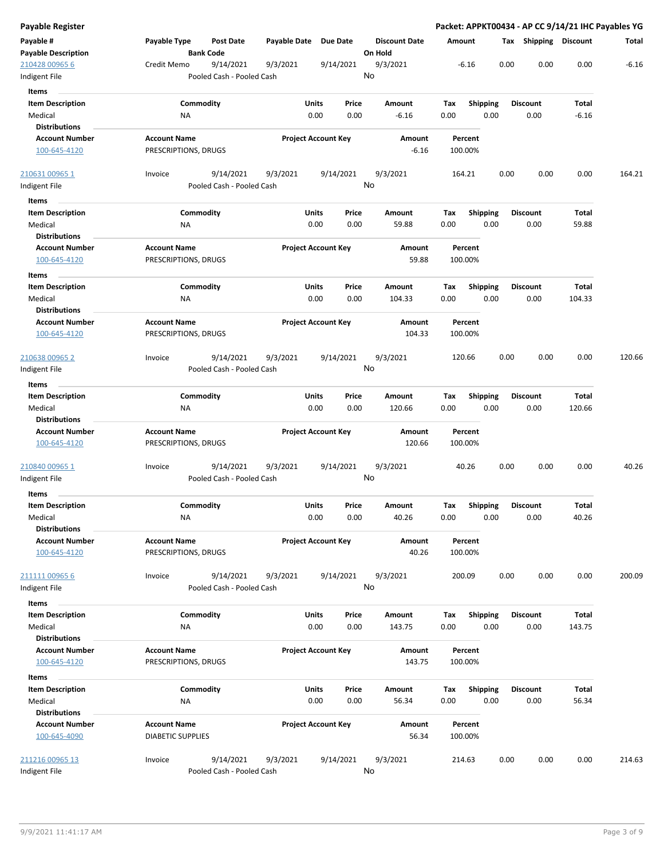| Payable Register                                           |                                                       |              |                                |                                 |                    |                         | Packet: APPKT00434 - AP CC 9/14/21 IHC Payables YG |                  |         |
|------------------------------------------------------------|-------------------------------------------------------|--------------|--------------------------------|---------------------------------|--------------------|-------------------------|----------------------------------------------------|------------------|---------|
| Payable #<br><b>Payable Description</b>                    | Payable Type<br><b>Post Date</b><br><b>Bank Code</b>  | Payable Date | <b>Due Date</b>                | <b>Discount Date</b><br>On Hold | Amount             |                         | Tax Shipping Discount                              |                  | Total   |
| 210428 00965 6<br>Indigent File                            | 9/14/2021<br>Credit Memo<br>Pooled Cash - Pooled Cash | 9/3/2021     | 9/14/2021                      | 9/3/2021<br>No                  | $-6.16$            |                         | 0.00<br>0.00                                       | 0.00             | $-6.16$ |
| Items                                                      |                                                       |              |                                |                                 |                    |                         |                                                    |                  |         |
| <b>Item Description</b><br>Medical<br><b>Distributions</b> | Commodity<br>ΝA                                       |              | Units<br>Price<br>0.00<br>0.00 | Amount<br>$-6.16$               | Tax<br>0.00        | <b>Shipping</b><br>0.00 | <b>Discount</b><br>0.00                            | Total<br>$-6.16$ |         |
| <b>Account Number</b>                                      | <b>Account Name</b>                                   |              | <b>Project Account Key</b>     | Amount                          | Percent            |                         |                                                    |                  |         |
| 100-645-4120                                               | PRESCRIPTIONS, DRUGS                                  |              |                                | $-6.16$                         | 100.00%            |                         |                                                    |                  |         |
| 210631 00965 1                                             | 9/14/2021<br>Invoice                                  | 9/3/2021     | 9/14/2021                      | 9/3/2021                        | 164.21             |                         | 0.00<br>0.00                                       | 0.00             | 164.21  |
| Indigent File                                              | Pooled Cash - Pooled Cash                             |              |                                | No                              |                    |                         |                                                    |                  |         |
| Items                                                      |                                                       |              |                                |                                 |                    |                         |                                                    |                  |         |
| <b>Item Description</b>                                    | Commodity                                             |              | Units<br>Price                 | Amount                          | Tax                | <b>Shipping</b>         | <b>Discount</b>                                    | Total            |         |
| Medical                                                    | ΝA                                                    |              | 0.00<br>0.00                   | 59.88                           | 0.00               | 0.00                    | 0.00                                               | 59.88            |         |
| <b>Distributions</b>                                       |                                                       |              |                                |                                 |                    |                         |                                                    |                  |         |
| <b>Account Number</b><br>100-645-4120                      | <b>Account Name</b><br>PRESCRIPTIONS, DRUGS           |              | <b>Project Account Key</b>     | Amount<br>59.88                 | Percent<br>100.00% |                         |                                                    |                  |         |
| Items                                                      |                                                       |              |                                |                                 |                    |                         |                                                    |                  |         |
| <b>Item Description</b>                                    | Commodity                                             |              | Units<br>Price                 | Amount                          | Tax                | Shipping                | <b>Discount</b>                                    | Total            |         |
| Medical                                                    | ΝA                                                    |              | 0.00<br>0.00                   | 104.33                          | 0.00               | 0.00                    | 0.00                                               | 104.33           |         |
| <b>Distributions</b><br><b>Account Number</b>              |                                                       |              |                                |                                 |                    |                         |                                                    |                  |         |
| 100-645-4120                                               | <b>Account Name</b><br>PRESCRIPTIONS, DRUGS           |              | <b>Project Account Key</b>     | Amount<br>104.33                | Percent<br>100.00% |                         |                                                    |                  |         |
| <u>210638 00965 2</u><br>Indigent File                     | 9/14/2021<br>Invoice<br>Pooled Cash - Pooled Cash     | 9/3/2021     | 9/14/2021                      | 9/3/2021<br>No                  | 120.66             |                         | 0.00<br>0.00                                       | 0.00             | 120.66  |
| Items                                                      |                                                       |              |                                |                                 |                    |                         |                                                    |                  |         |
| <b>Item Description</b>                                    | Commodity                                             |              | Units<br>Price                 | Amount                          | Tax                | <b>Shipping</b>         | <b>Discount</b>                                    | Total            |         |
| Medical                                                    | ΝA                                                    |              | 0.00<br>0.00                   | 120.66                          | 0.00               | 0.00                    | 0.00                                               | 120.66           |         |
| <b>Distributions</b>                                       |                                                       |              |                                |                                 |                    |                         |                                                    |                  |         |
| <b>Account Number</b><br>100-645-4120                      | <b>Account Name</b><br>PRESCRIPTIONS, DRUGS           |              | <b>Project Account Key</b>     | Amount<br>120.66                | Percent<br>100.00% |                         |                                                    |                  |         |
| 210840 00965 1<br>Indigent File                            | 9/14/2021<br>Invoice<br>Pooled Cash - Pooled Cash     | 9/3/2021     | 9/14/2021                      | 9/3/2021<br>No                  | 40.26              |                         | 0.00<br>0.00                                       | 0.00             | 40.26   |
| Items                                                      |                                                       |              |                                |                                 |                    |                         |                                                    |                  |         |
| <b>Item Description</b><br>Medical                         | Commodity<br>ΝA                                       |              | Units<br>Price<br>0.00<br>0.00 | Amount<br>40.26                 | Tax<br>0.00        | <b>Shipping</b><br>0.00 | <b>Discount</b><br>0.00                            | Total<br>40.26   |         |
| <b>Distributions</b>                                       |                                                       |              |                                |                                 |                    |                         |                                                    |                  |         |
| <b>Account Number</b><br>100-645-4120                      | <b>Account Name</b><br>PRESCRIPTIONS, DRUGS           |              | <b>Project Account Key</b>     | Amount<br>40.26                 | Percent<br>100.00% |                         |                                                    |                  |         |
| 211111 00965 6<br>Indigent File                            | 9/14/2021<br>Invoice<br>Pooled Cash - Pooled Cash     | 9/3/2021     | 9/14/2021                      | 9/3/2021<br>No                  | 200.09             |                         | 0.00<br>0.00                                       | 0.00             | 200.09  |
| Items                                                      |                                                       |              |                                |                                 |                    |                         |                                                    |                  |         |
| <b>Item Description</b>                                    | Commodity                                             |              | Units<br>Price                 | Amount                          | Tax                | Shipping                | <b>Discount</b>                                    | Total            |         |
| Medical                                                    | NA                                                    |              | 0.00<br>0.00                   | 143.75                          | 0.00               | 0.00                    | 0.00                                               | 143.75           |         |
| <b>Distributions</b>                                       |                                                       |              |                                |                                 |                    |                         |                                                    |                  |         |
| <b>Account Number</b>                                      | <b>Account Name</b>                                   |              | <b>Project Account Key</b>     | Amount                          | Percent            |                         |                                                    |                  |         |
| 100-645-4120                                               | PRESCRIPTIONS, DRUGS                                  |              |                                | 143.75                          | 100.00%            |                         |                                                    |                  |         |
| Items                                                      |                                                       |              |                                |                                 |                    |                         |                                                    |                  |         |
| <b>Item Description</b>                                    | Commodity                                             |              | Units<br>Price                 | Amount                          | Тах                | <b>Shipping</b>         | <b>Discount</b>                                    | Total            |         |
| Medical                                                    | ΝA                                                    |              | 0.00<br>0.00                   | 56.34                           | 0.00               | 0.00                    | 0.00                                               | 56.34            |         |
| <b>Distributions</b>                                       |                                                       |              |                                |                                 |                    |                         |                                                    |                  |         |
| <b>Account Number</b><br>100-645-4090                      | <b>Account Name</b><br><b>DIABETIC SUPPLIES</b>       |              | <b>Project Account Key</b>     | Amount<br>56.34                 | Percent<br>100.00% |                         |                                                    |                  |         |
| 211216 00965 13<br>Indigent File                           | Invoice<br>9/14/2021<br>Pooled Cash - Pooled Cash     | 9/3/2021     | 9/14/2021                      | 9/3/2021<br>No                  | 214.63             |                         | 0.00<br>0.00                                       | 0.00             | 214.63  |
|                                                            |                                                       |              |                                |                                 |                    |                         |                                                    |                  |         |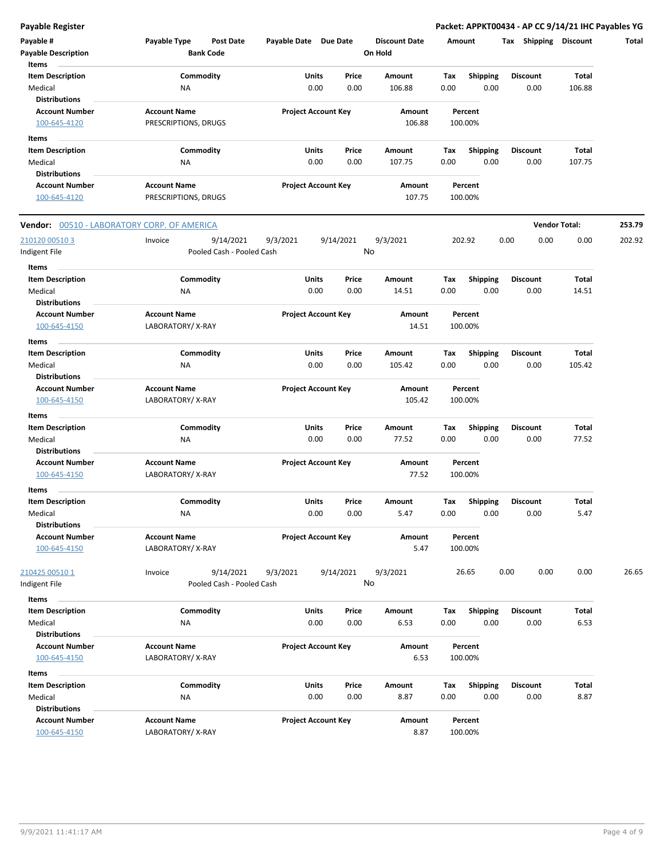**Payable Register Packet: APPKT00434 - AP CC 9/14/21 IHC Payables YG**

| Payable #<br><b>Payable Description</b><br>Items              | Payable Type<br><b>Bank Code</b>            | <b>Post Date</b>          | Payable Date Due Date |                                | <b>Discount Date</b><br>On Hold | Amount             |                         | <b>Shipping</b><br>Tax  | Discount             | Total  |
|---------------------------------------------------------------|---------------------------------------------|---------------------------|-----------------------|--------------------------------|---------------------------------|--------------------|-------------------------|-------------------------|----------------------|--------|
| <b>Item Description</b><br>Medical                            | Commodity<br><b>NA</b>                      |                           |                       | Units<br>Price<br>0.00<br>0.00 | Amount<br>106.88                | Tax<br>0.00        | <b>Shipping</b><br>0.00 | <b>Discount</b><br>0.00 | Total<br>106.88      |        |
| <b>Distributions</b><br><b>Account Number</b><br>100-645-4120 | <b>Account Name</b><br>PRESCRIPTIONS, DRUGS |                           |                       | <b>Project Account Key</b>     | Amount<br>106.88                | Percent<br>100.00% |                         |                         |                      |        |
| Items                                                         |                                             |                           |                       |                                |                                 |                    |                         |                         |                      |        |
| <b>Item Description</b>                                       | Commodity                                   |                           |                       | Units<br>Price                 | Amount                          | Tax                | <b>Shipping</b>         | <b>Discount</b>         | <b>Total</b>         |        |
| Medical                                                       | NA                                          |                           |                       | 0.00<br>0.00                   | 107.75                          | 0.00               | 0.00                    | 0.00                    | 107.75               |        |
| <b>Distributions</b>                                          |                                             |                           |                       |                                |                                 |                    |                         |                         |                      |        |
| <b>Account Number</b><br>100-645-4120                         | <b>Account Name</b><br>PRESCRIPTIONS, DRUGS |                           |                       | <b>Project Account Key</b>     | Amount<br>107.75                | Percent<br>100.00% |                         |                         |                      |        |
| Vendor: 00510 - LABORATORY CORP. OF AMERICA                   |                                             |                           |                       |                                |                                 |                    |                         |                         | <b>Vendor Total:</b> | 253.79 |
| 210120 00510 3                                                | Invoice                                     | 9/14/2021                 | 9/3/2021              | 9/14/2021                      | 9/3/2021                        | 202.92             |                         | 0.00<br>0.00            | 0.00                 | 202.92 |
| Indigent File                                                 |                                             | Pooled Cash - Pooled Cash |                       |                                | No                              |                    |                         |                         |                      |        |
|                                                               |                                             |                           |                       |                                |                                 |                    |                         |                         |                      |        |
| Items                                                         |                                             |                           |                       |                                |                                 |                    |                         |                         |                      |        |
| <b>Item Description</b>                                       | Commodity                                   |                           |                       | Units<br>Price                 | Amount                          | Тах                | <b>Shipping</b>         | Discount                | <b>Total</b>         |        |
| Medical                                                       | ΝA                                          |                           |                       | 0.00<br>0.00                   | 14.51                           | 0.00               | 0.00                    | 0.00                    | 14.51                |        |
| <b>Distributions</b>                                          |                                             |                           |                       |                                |                                 |                    |                         |                         |                      |        |
| <b>Account Number</b><br>100-645-4150                         | <b>Account Name</b><br>LABORATORY/X-RAY     |                           |                       | <b>Project Account Key</b>     | Amount<br>14.51                 | Percent<br>100.00% |                         |                         |                      |        |
| Items                                                         |                                             |                           |                       |                                |                                 |                    |                         |                         |                      |        |
| <b>Item Description</b>                                       | Commodity                                   |                           |                       | Units<br>Price                 | Amount                          | Tax                | <b>Shipping</b>         | <b>Discount</b>         | <b>Total</b>         |        |
| Medical<br><b>Distributions</b>                               | <b>NA</b>                                   |                           |                       | 0.00<br>0.00                   | 105.42                          | 0.00               | 0.00                    | 0.00                    | 105.42               |        |
| <b>Account Number</b><br>100-645-4150                         | <b>Account Name</b><br>LABORATORY/X-RAY     |                           |                       | <b>Project Account Key</b>     | Amount<br>105.42                | Percent<br>100.00% |                         |                         |                      |        |
| Items                                                         |                                             |                           |                       |                                |                                 |                    |                         |                         |                      |        |
| <b>Item Description</b>                                       | Commodity                                   |                           |                       | Units<br>Price                 | Amount                          | Tax                | <b>Shipping</b>         | <b>Discount</b>         | Total                |        |
| Medical                                                       | <b>NA</b>                                   |                           |                       | 0.00<br>0.00                   | 77.52                           | 0.00               | 0.00                    | 0.00                    | 77.52                |        |
| <b>Distributions</b>                                          |                                             |                           |                       |                                |                                 |                    |                         |                         |                      |        |
| <b>Account Number</b><br>100-645-4150                         | <b>Account Name</b><br>LABORATORY/X-RAY     |                           |                       | <b>Project Account Key</b>     | Amount<br>77.52                 | Percent<br>100.00% |                         |                         |                      |        |
| Items                                                         |                                             |                           |                       |                                |                                 |                    |                         |                         |                      |        |
| <b>Item Description</b>                                       | Commodity                                   |                           |                       | Units<br>Price                 | Amount                          | Tax                | <b>Shipping</b>         | <b>Discount</b>         | Total                |        |
| Medical                                                       | ΝA                                          |                           |                       | 0.00<br>0.00                   | 5.47                            | 0.00               | 0.00                    | 0.00                    | 5.47                 |        |
| <b>Distributions</b>                                          |                                             |                           |                       |                                |                                 |                    |                         |                         |                      |        |
| <b>Account Number</b><br>100-645-4150                         | <b>Account Name</b><br>LABORATORY/X-RAY     |                           |                       | <b>Project Account Key</b>     | Amount<br>5.47                  | Percent<br>100.00% |                         |                         |                      |        |
| 210425 00510 1                                                | Invoice                                     | 9/14/2021                 | 9/3/2021              | 9/14/2021                      | 9/3/2021                        | 26.65              |                         | 0.00<br>0.00            | 0.00                 | 26.65  |
| Indigent File                                                 |                                             | Pooled Cash - Pooled Cash |                       |                                | No                              |                    |                         |                         |                      |        |
| Items                                                         |                                             |                           |                       |                                |                                 |                    |                         |                         |                      |        |
| <b>Item Description</b>                                       | Commodity                                   |                           |                       | Units<br>Price                 | Amount                          | Tax                | Shipping                | <b>Discount</b>         | Total                |        |
| Medical<br><b>Distributions</b>                               | ΝA                                          |                           |                       | 0.00<br>0.00                   | 6.53                            | 0.00               | 0.00                    | 0.00                    | 6.53                 |        |
| <b>Account Number</b>                                         | <b>Account Name</b>                         |                           |                       |                                |                                 | Percent            |                         |                         |                      |        |
| 100-645-4150                                                  | LABORATORY/X-RAY                            |                           |                       | <b>Project Account Key</b>     | Amount<br>6.53                  | 100.00%            |                         |                         |                      |        |
| Items                                                         |                                             |                           |                       |                                |                                 |                    |                         |                         |                      |        |
| <b>Item Description</b>                                       | Commodity                                   |                           |                       | Units<br>Price                 | Amount                          | Tax                | <b>Shipping</b>         | <b>Discount</b>         | Total                |        |
| Medical                                                       | <b>NA</b>                                   |                           |                       | 0.00<br>0.00                   | 8.87                            | 0.00               | 0.00                    | 0.00                    | 8.87                 |        |
| <b>Distributions</b>                                          |                                             |                           |                       |                                |                                 |                    |                         |                         |                      |        |
| <b>Account Number</b><br>100-645-4150                         | <b>Account Name</b><br>LABORATORY/X-RAY     |                           |                       | <b>Project Account Key</b>     | Amount<br>8.87                  | Percent<br>100.00% |                         |                         |                      |        |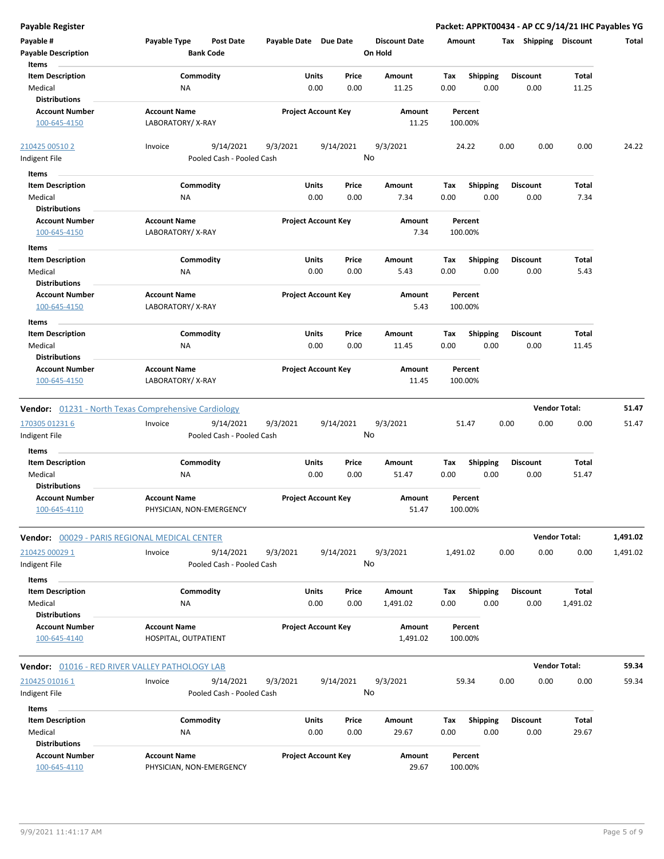| <b>Payable Register</b>                                    |                                                             |                            |                            |                                 | Packet: APPKT00434 - AP CC 9/14/21 IHC Payables YG |                         |                      |          |
|------------------------------------------------------------|-------------------------------------------------------------|----------------------------|----------------------------|---------------------------------|----------------------------------------------------|-------------------------|----------------------|----------|
| Payable #<br><b>Payable Description</b>                    | Payable Type<br><b>Post Date</b><br><b>Bank Code</b>        | Payable Date Due Date      |                            | <b>Discount Date</b><br>On Hold | Amount                                             | Tax Shipping Discount   |                      | Total    |
| Items                                                      |                                                             |                            |                            |                                 |                                                    |                         |                      |          |
| <b>Item Description</b><br>Medical                         | Commodity<br><b>NA</b>                                      | Units<br>0.00              | Price<br>0.00              | Amount<br>11.25                 | Tax<br><b>Shipping</b><br>0.00<br>0.00             | <b>Discount</b><br>0.00 | Total<br>11.25       |          |
| <b>Distributions</b>                                       |                                                             |                            |                            |                                 |                                                    |                         |                      |          |
| <b>Account Number</b><br>100-645-4150                      | <b>Account Name</b><br>LABORATORY/X-RAY                     |                            | <b>Project Account Key</b> | Amount<br>11.25                 | Percent<br>100.00%                                 |                         |                      |          |
| 210425 00510 2                                             | 9/14/2021<br>Invoice                                        | 9/3/2021                   | 9/14/2021                  | 9/3/2021<br>No                  | 24.22                                              | 0.00<br>0.00            | 0.00                 | 24.22    |
| Indigent File                                              | Pooled Cash - Pooled Cash                                   |                            |                            |                                 |                                                    |                         |                      |          |
| Items                                                      |                                                             |                            |                            |                                 |                                                    |                         |                      |          |
| <b>Item Description</b>                                    | Commodity                                                   | Units                      | Price                      | Amount                          | <b>Shipping</b><br>Tax                             | <b>Discount</b>         | Total                |          |
| Medical<br><b>Distributions</b>                            | ΝA                                                          | 0.00                       | 0.00                       | 7.34                            | 0.00<br>0.00                                       | 0.00                    | 7.34                 |          |
| <b>Account Number</b>                                      | <b>Account Name</b>                                         | <b>Project Account Key</b> |                            | Amount                          | Percent                                            |                         |                      |          |
| 100-645-4150                                               | LABORATORY/X-RAY                                            |                            |                            | 7.34                            | 100.00%                                            |                         |                      |          |
| Items                                                      |                                                             |                            |                            |                                 |                                                    |                         |                      |          |
| <b>Item Description</b><br>Medical<br><b>Distributions</b> | Commodity<br>ΝA                                             | Units<br>0.00              | Price<br>0.00              | Amount<br>5.43                  | Shipping<br>Tax<br>0.00<br>0.00                    | <b>Discount</b><br>0.00 | Total<br>5.43        |          |
| <b>Account Number</b><br>100-645-4150                      | <b>Account Name</b><br>LABORATORY/X-RAY                     | <b>Project Account Key</b> |                            | Amount<br>5.43                  | Percent<br>100.00%                                 |                         |                      |          |
| Items                                                      |                                                             |                            |                            |                                 |                                                    |                         |                      |          |
| <b>Item Description</b>                                    | Commodity                                                   | Units                      | Price                      | Amount                          | Tax<br><b>Shipping</b>                             | <b>Discount</b>         | Total                |          |
| Medical<br><b>Distributions</b>                            | NA                                                          | 0.00                       | 0.00                       | 11.45                           | 0.00<br>0.00                                       | 0.00                    | 11.45                |          |
| <b>Account Number</b><br>100-645-4150                      | <b>Account Name</b><br>LABORATORY/X-RAY                     | <b>Project Account Key</b> |                            | Amount<br>11.45                 | Percent<br>100.00%                                 |                         |                      |          |
|                                                            | <b>Vendor:</b> 01231 - North Texas Comprehensive Cardiology |                            |                            |                                 |                                                    |                         | <b>Vendor Total:</b> | 51.47    |
| 170305 01231 6                                             | Invoice<br>9/14/2021                                        | 9/3/2021                   | 9/14/2021                  | 9/3/2021                        | 51.47                                              | 0.00<br>0.00            | 0.00                 | 51.47    |
| Indigent File                                              | Pooled Cash - Pooled Cash                                   |                            |                            | No                              |                                                    |                         |                      |          |
| Items                                                      |                                                             |                            |                            |                                 |                                                    |                         |                      |          |
| <b>Item Description</b><br>Medical<br><b>Distributions</b> | Commodity<br>NA                                             | Units<br>0.00              | Price<br>0.00              | Amount<br>51.47                 | <b>Shipping</b><br>Tax<br>0.00<br>0.00             | <b>Discount</b><br>0.00 | Total<br>51.47       |          |
| <b>Account Number</b><br><u>100-645-4110</u>               | <b>Account Name</b><br>PHYSICIAN, NON-EMERGENCY             | <b>Project Account Key</b> |                            | Amount<br>51.47                 | Percent<br>100.00%                                 |                         |                      |          |
| Vendor: 00029 - PARIS REGIONAL MEDICAL CENTER              |                                                             |                            |                            |                                 |                                                    |                         | <b>Vendor Total:</b> | 1,491.02 |
| 210425 00029 1<br>Indigent File                            | 9/14/2021<br>Invoice<br>Pooled Cash - Pooled Cash           | 9/3/2021                   | 9/14/2021                  | 9/3/2021<br>No                  | 1,491.02                                           | 0.00<br>0.00            | 0.00                 | 1,491.02 |
| Items                                                      |                                                             |                            |                            |                                 |                                                    |                         |                      |          |
| <b>Item Description</b><br>Medical<br><b>Distributions</b> | Commodity<br>NA                                             | Units<br>0.00              | Price<br>0.00              | Amount<br>1,491.02              | <b>Shipping</b><br>Tax<br>0.00<br>0.00             | <b>Discount</b><br>0.00 | Total<br>1,491.02    |          |
| <b>Account Number</b>                                      | <b>Account Name</b>                                         |                            | <b>Project Account Key</b> | Amount                          | Percent                                            |                         |                      |          |
| 100-645-4140                                               | HOSPITAL, OUTPATIENT                                        |                            |                            | 1,491.02                        | 100.00%                                            |                         |                      |          |
| <b>Vendor: 01016 - RED RIVER VALLEY PATHOLOGY LAB</b>      |                                                             |                            |                            |                                 |                                                    |                         | <b>Vendor Total:</b> | 59.34    |
| 210425 01016 1                                             | 9/14/2021<br>Invoice                                        | 9/3/2021                   | 9/14/2021                  | 9/3/2021                        | 59.34                                              | 0.00<br>0.00            | 0.00                 | 59.34    |
| Indigent File                                              | Pooled Cash - Pooled Cash                                   |                            |                            | No                              |                                                    |                         |                      |          |
| Items                                                      |                                                             |                            |                            |                                 |                                                    |                         |                      |          |
| <b>Item Description</b>                                    | Commodity                                                   | Units                      | Price                      | Amount                          | Shipping<br>Tax                                    | <b>Discount</b>         | Total                |          |
| Medical                                                    | <b>NA</b>                                                   | 0.00                       | 0.00                       | 29.67                           | 0.00<br>0.00                                       | 0.00                    | 29.67                |          |
| <b>Distributions</b>                                       |                                                             |                            |                            |                                 |                                                    |                         |                      |          |
| <b>Account Number</b><br>100-645-4110                      | <b>Account Name</b><br>PHYSICIAN, NON-EMERGENCY             |                            | <b>Project Account Key</b> | Amount<br>29.67                 | Percent<br>100.00%                                 |                         |                      |          |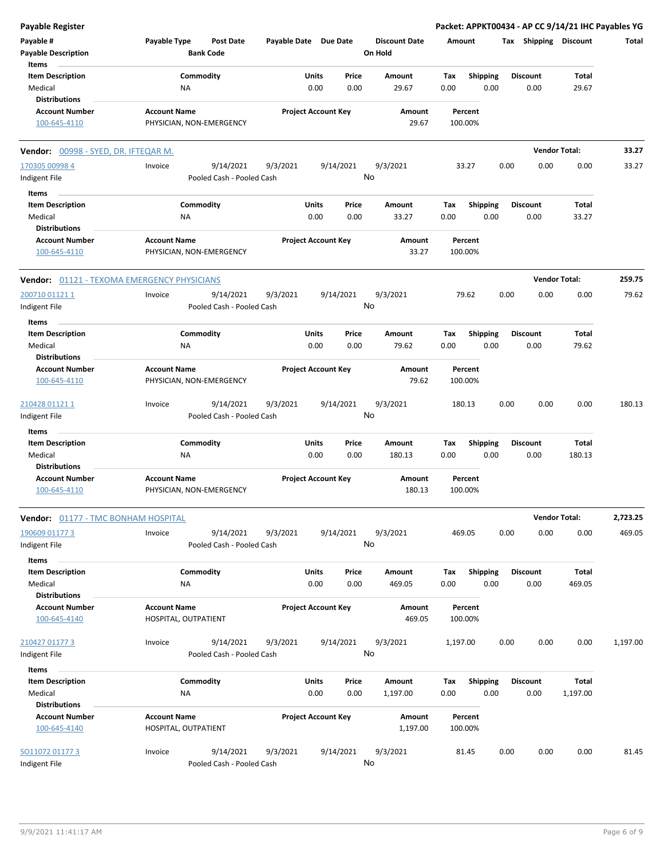| Payable Register                                   |                                                      |                       |                                               |                                 |                    |                         | Packet: APPKT00434 - AP CC 9/14/21 IHC Payables YG |                        |          |
|----------------------------------------------------|------------------------------------------------------|-----------------------|-----------------------------------------------|---------------------------------|--------------------|-------------------------|----------------------------------------------------|------------------------|----------|
| Payable #<br><b>Payable Description</b>            | Payable Type<br><b>Post Date</b><br><b>Bank Code</b> | Payable Date Due Date |                                               | <b>Discount Date</b><br>On Hold | Amount             |                         | Tax Shipping Discount                              |                        | Total    |
| Items<br><b>Item Description</b><br>Medical        | Commodity<br>NA                                      |                       | Units<br>Price<br>0.00<br>0.00                | Amount<br>29.67                 | Tax<br>0.00        | <b>Shipping</b><br>0.00 | <b>Discount</b><br>0.00                            | <b>Total</b><br>29.67  |          |
| <b>Distributions</b>                               |                                                      |                       |                                               |                                 |                    |                         |                                                    |                        |          |
| <b>Account Number</b><br>100-645-4110              | <b>Account Name</b><br>PHYSICIAN, NON-EMERGENCY      |                       | <b>Project Account Key</b>                    | Amount<br>29.67                 | Percent<br>100.00% |                         |                                                    |                        |          |
| Vendor: 00998 - SYED, DR. IFTEQAR M.               |                                                      |                       |                                               |                                 |                    |                         |                                                    | <b>Vendor Total:</b>   | 33.27    |
| 170305 00998 4                                     | 9/14/2021<br>Invoice                                 | 9/3/2021              | 9/14/2021                                     | 9/3/2021                        | 33.27              |                         | 0.00<br>0.00                                       | 0.00                   | 33.27    |
| Indigent File                                      | Pooled Cash - Pooled Cash                            |                       |                                               | No                              |                    |                         |                                                    |                        |          |
| Items                                              |                                                      |                       |                                               |                                 |                    |                         |                                                    |                        |          |
| <b>Item Description</b>                            | Commodity                                            |                       | Units<br>Price                                | Amount                          | Tax                | <b>Shipping</b>         | <b>Discount</b>                                    | Total                  |          |
| Medical                                            | NA                                                   |                       | 0.00<br>0.00                                  | 33.27                           | 0.00               | 0.00                    | 0.00                                               | 33.27                  |          |
| <b>Distributions</b>                               |                                                      |                       |                                               |                                 |                    |                         |                                                    |                        |          |
| <b>Account Number</b><br>100-645-4110              | <b>Account Name</b><br>PHYSICIAN, NON-EMERGENCY      |                       | <b>Project Account Key</b>                    | Amount<br>33.27                 | Percent<br>100.00% |                         |                                                    |                        |          |
| <b>Vendor: 01121 - TEXOMA EMERGENCY PHYSICIANS</b> |                                                      |                       |                                               |                                 |                    |                         |                                                    | <b>Vendor Total:</b>   | 259.75   |
| 200710 01121 1                                     | 9/14/2021<br>Invoice                                 | 9/3/2021              | 9/14/2021                                     | 9/3/2021                        | 79.62              |                         | 0.00<br>0.00                                       | 0.00                   | 79.62    |
| Indigent File                                      | Pooled Cash - Pooled Cash                            |                       |                                               | No                              |                    |                         |                                                    |                        |          |
| Items                                              |                                                      |                       |                                               |                                 |                    |                         |                                                    |                        |          |
| <b>Item Description</b>                            | Commodity                                            |                       | Units<br>Price                                | Amount                          | Tax                | <b>Shipping</b>         | <b>Discount</b>                                    | <b>Total</b>           |          |
| Medical                                            | NA                                                   |                       | 0.00<br>0.00                                  | 79.62                           | 0.00               | 0.00                    | 0.00                                               | 79.62                  |          |
| <b>Distributions</b>                               |                                                      |                       |                                               |                                 |                    |                         |                                                    |                        |          |
| <b>Account Number</b><br>100-645-4110              | <b>Account Name</b><br>PHYSICIAN, NON-EMERGENCY      |                       | <b>Project Account Key</b><br>Amount<br>79.62 |                                 | Percent<br>100.00% |                         |                                                    |                        |          |
| 210428 01121 1                                     | 9/14/2021<br>Invoice                                 | 9/3/2021              | 9/14/2021                                     | 9/3/2021                        | 180.13             |                         | 0.00<br>0.00                                       | 0.00                   | 180.13   |
| Indigent File                                      | Pooled Cash - Pooled Cash                            |                       |                                               | No                              |                    |                         |                                                    |                        |          |
| Items                                              |                                                      |                       |                                               |                                 |                    |                         |                                                    |                        |          |
| <b>Item Description</b>                            | Commodity                                            |                       | Units<br>Price                                | <b>Amount</b>                   | Tax                | <b>Shipping</b>         | <b>Discount</b>                                    | <b>Total</b>           |          |
| Medical                                            | NA                                                   |                       | 0.00<br>0.00                                  | 180.13                          | 0.00               | 0.00                    | 0.00                                               | 180.13                 |          |
| <b>Distributions</b><br><b>Account Number</b>      | <b>Account Name</b>                                  |                       | <b>Project Account Key</b>                    | Amount                          | Percent            |                         |                                                    |                        |          |
| 100-645-4110                                       | PHYSICIAN, NON-EMERGENCY                             |                       |                                               | 180.13                          | 100.00%            |                         |                                                    |                        |          |
| <b>Vendor: 01177 - TMC BONHAM HOSPITAL</b>         |                                                      |                       |                                               |                                 |                    |                         |                                                    | <b>Vendor Total:</b>   | 2,723.25 |
| 190609 01177 3<br>Indigent File                    | 9/14/2021<br>Invoice<br>Pooled Cash - Pooled Cash    | 9/3/2021              | 9/14/2021                                     | 9/3/2021<br>No                  | 469.05             |                         | 0.00<br>0.00                                       | 0.00                   | 469.05   |
| Items                                              |                                                      |                       |                                               |                                 |                    |                         |                                                    |                        |          |
| <b>Item Description</b><br>Medical                 | Commodity<br>NA                                      |                       | Units<br>Price<br>0.00<br>0.00                | Amount<br>469.05                | Tax<br>0.00        | <b>Shipping</b><br>0.00 | <b>Discount</b><br>0.00                            | <b>Total</b><br>469.05 |          |
| <b>Distributions</b><br><b>Account Number</b>      | <b>Account Name</b>                                  |                       | <b>Project Account Key</b>                    |                                 |                    |                         |                                                    |                        |          |
| 100-645-4140                                       | HOSPITAL, OUTPATIENT                                 |                       |                                               | Amount<br>469.05                | Percent<br>100.00% |                         |                                                    |                        |          |
| 210427 01177 3                                     | 9/14/2021<br>Invoice                                 | 9/3/2021              | 9/14/2021                                     | 9/3/2021                        | 1,197.00           |                         | 0.00<br>0.00                                       | 0.00                   | 1,197.00 |
| Indigent File                                      | Pooled Cash - Pooled Cash                            |                       |                                               | No                              |                    |                         |                                                    |                        |          |
| Items                                              |                                                      |                       |                                               |                                 |                    |                         |                                                    |                        |          |
| <b>Item Description</b>                            | Commodity                                            |                       | Units<br>Price                                | Amount                          | Tax                | <b>Shipping</b>         | <b>Discount</b>                                    | <b>Total</b>           |          |
| Medical<br><b>Distributions</b>                    | NA                                                   |                       | 0.00<br>0.00                                  | 1,197.00                        | 0.00               | 0.00                    | 0.00                                               | 1,197.00               |          |
| <b>Account Number</b>                              | <b>Account Name</b>                                  |                       | <b>Project Account Key</b>                    | Amount                          | Percent            |                         |                                                    |                        |          |
| 100-645-4140                                       | HOSPITAL, OUTPATIENT                                 |                       |                                               | 1,197.00                        | 100.00%            |                         |                                                    |                        |          |
| SO11072 01177 3<br>Indigent File                   | 9/14/2021<br>Invoice<br>Pooled Cash - Pooled Cash    | 9/3/2021              | 9/14/2021                                     | 9/3/2021<br>No                  | 81.45              |                         | 0.00<br>0.00                                       | 0.00                   | 81.45    |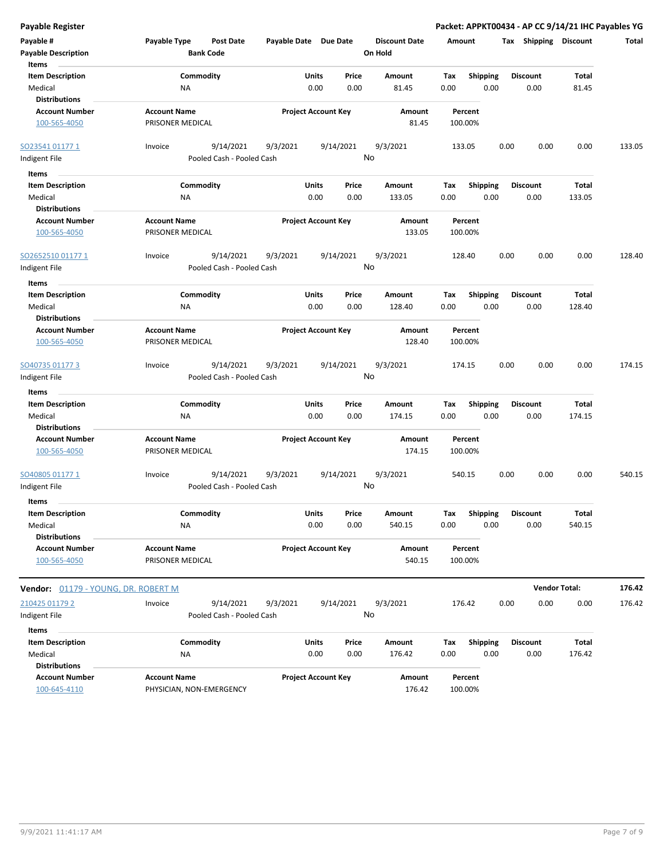| <b>Payable Register</b>                 |                                                      |          |                            |                                 | Packet: APPKT00434 - AP CC 9/14/21 IHC Payables YG |                       |                      |        |
|-----------------------------------------|------------------------------------------------------|----------|----------------------------|---------------------------------|----------------------------------------------------|-----------------------|----------------------|--------|
| Payable #<br><b>Payable Description</b> | Payable Type<br><b>Post Date</b><br><b>Bank Code</b> |          | Payable Date Due Date      | <b>Discount Date</b><br>On Hold | Amount                                             | Tax Shipping Discount |                      | Total  |
| Items<br><b>Item Description</b>        | Commodity                                            |          | Units<br>Price             | Amount                          | <b>Shipping</b><br>Tax                             | <b>Discount</b>       | Total                |        |
| Medical                                 | NA                                                   |          | 0.00<br>0.00               | 81.45                           | 0.00<br>0.00                                       | 0.00                  | 81.45                |        |
| <b>Distributions</b>                    |                                                      |          |                            |                                 |                                                    |                       |                      |        |
| <b>Account Number</b>                   | <b>Account Name</b>                                  |          | <b>Project Account Key</b> | Amount                          | Percent                                            |                       |                      |        |
| 100-565-4050                            | PRISONER MEDICAL                                     |          |                            | 81.45                           | 100.00%                                            |                       |                      |        |
| SO23541 01177 1                         | 9/14/2021<br>Invoice                                 | 9/3/2021 | 9/14/2021                  | 9/3/2021                        | 133.05                                             | 0.00<br>0.00          | 0.00                 | 133.05 |
| Indigent File                           | Pooled Cash - Pooled Cash                            |          |                            | No                              |                                                    |                       |                      |        |
| Items                                   |                                                      |          |                            |                                 |                                                    |                       |                      |        |
| <b>Item Description</b>                 | Commodity                                            |          | Units<br>Price             | Amount                          | <b>Shipping</b><br>Tax                             | <b>Discount</b>       | Total                |        |
| Medical                                 | NA                                                   |          | 0.00<br>0.00               | 133.05                          | 0.00<br>0.00                                       | 0.00                  | 133.05               |        |
| <b>Distributions</b>                    |                                                      |          |                            |                                 |                                                    |                       |                      |        |
| <b>Account Number</b>                   | <b>Account Name</b>                                  |          | <b>Project Account Key</b> | Amount                          | Percent                                            |                       |                      |        |
| 100-565-4050                            | PRISONER MEDICAL                                     |          |                            | 133.05                          | 100.00%                                            |                       |                      |        |
| SO2652510 01177 1                       | 9/14/2021<br>Invoice                                 | 9/3/2021 | 9/14/2021                  | 9/3/2021                        | 128.40                                             | 0.00<br>0.00          | 0.00                 | 128.40 |
| Indigent File                           | Pooled Cash - Pooled Cash                            |          |                            | No                              |                                                    |                       |                      |        |
| Items                                   |                                                      |          |                            |                                 |                                                    |                       |                      |        |
| <b>Item Description</b>                 | Commodity                                            |          | Units<br>Price             | Amount                          | Tax<br><b>Shipping</b>                             | <b>Discount</b>       | Total                |        |
| Medical<br><b>Distributions</b>         | ΝA                                                   |          | 0.00<br>0.00               | 128.40                          | 0.00<br>0.00                                       | 0.00                  | 128.40               |        |
| <b>Account Number</b>                   | <b>Account Name</b>                                  |          | <b>Project Account Key</b> | Amount                          | Percent                                            |                       |                      |        |
| 100-565-4050                            | PRISONER MEDICAL                                     |          |                            | 128.40                          | 100.00%                                            |                       |                      |        |
| SO40735 01177 3                         | 9/14/2021<br>Invoice                                 | 9/3/2021 | 9/14/2021                  | 9/3/2021                        | 174.15                                             | 0.00<br>0.00          | 0.00                 | 174.15 |
| Indigent File                           | Pooled Cash - Pooled Cash                            |          |                            | No                              |                                                    |                       |                      |        |
| Items                                   |                                                      |          |                            |                                 |                                                    |                       |                      |        |
| <b>Item Description</b>                 | Commodity                                            |          | Units<br>Price             | Amount                          | <b>Shipping</b><br>Tax                             | <b>Discount</b>       | Total                |        |
| Medical                                 | NA                                                   |          | 0.00<br>0.00               | 174.15                          | 0.00<br>0.00                                       | 0.00                  | 174.15               |        |
| <b>Distributions</b>                    |                                                      |          |                            |                                 |                                                    |                       |                      |        |
| <b>Account Number</b><br>100-565-4050   | <b>Account Name</b><br>PRISONER MEDICAL              |          | <b>Project Account Key</b> | Amount<br>174.15                | Percent<br>100.00%                                 |                       |                      |        |
|                                         |                                                      |          |                            |                                 |                                                    |                       |                      |        |
| SO40805 01177 1                         | 9/14/2021<br>Invoice                                 | 9/3/2021 | 9/14/2021                  | 9/3/2021                        | 540.15                                             | 0.00<br>0.00          | 0.00                 | 540.15 |
| Indigent File                           | Pooled Cash - Pooled Cash                            |          |                            | No                              |                                                    |                       |                      |        |
| Items                                   |                                                      |          |                            |                                 |                                                    |                       |                      |        |
| <b>Item Description</b>                 | Commodity                                            |          | Units<br>Price             | Amount                          | <b>Shipping</b><br>Tax                             | <b>Discount</b>       | Total                |        |
| Medical                                 | ΝA                                                   |          | 0.00<br>0.00               | 540.15                          | 0.00<br>0.00                                       | 0.00                  | 540.15               |        |
| <b>Distributions</b>                    |                                                      |          |                            |                                 |                                                    |                       |                      |        |
| <b>Account Number</b>                   | <b>Account Name</b>                                  |          | <b>Project Account Key</b> | Amount                          | Percent                                            |                       |                      |        |
| 100-565-4050                            | PRISONER MEDICAL                                     |          |                            | 540.15                          | 100.00%                                            |                       |                      |        |
| Vendor: 01179 - YOUNG, DR. ROBERT M     |                                                      |          |                            |                                 |                                                    |                       | <b>Vendor Total:</b> | 176.42 |
| 210425 01179 2                          | Invoice<br>9/14/2021                                 | 9/3/2021 | 9/14/2021                  | 9/3/2021                        | 176.42                                             | 0.00<br>0.00          | 0.00                 | 176.42 |
| Indigent File                           | Pooled Cash - Pooled Cash                            |          |                            | No                              |                                                    |                       |                      |        |
| Items                                   |                                                      |          |                            |                                 |                                                    |                       |                      |        |
| <b>Item Description</b>                 | Commodity                                            |          | Units<br>Price             | Amount                          | <b>Shipping</b><br>Tax                             | <b>Discount</b>       | Total                |        |
| Medical                                 | NA                                                   |          | 0.00<br>0.00               | 176.42                          | 0.00<br>0.00                                       | 0.00                  | 176.42               |        |
| <b>Distributions</b>                    |                                                      |          |                            |                                 |                                                    |                       |                      |        |
| <b>Account Number</b>                   | <b>Account Name</b>                                  |          | <b>Project Account Key</b> | Amount                          | Percent                                            |                       |                      |        |
| 100-645-4110                            | PHYSICIAN, NON-EMERGENCY                             |          |                            | 176.42                          | 100.00%                                            |                       |                      |        |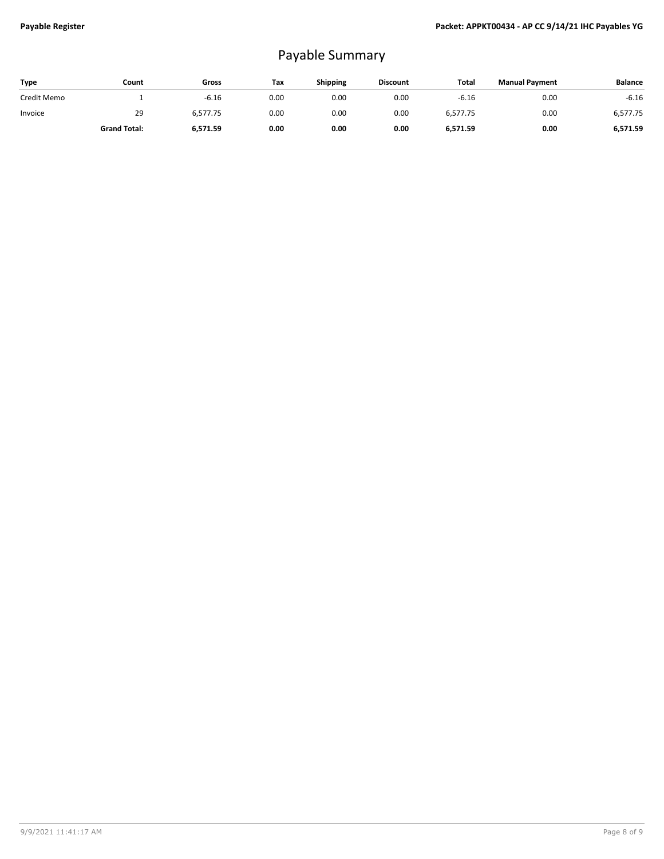## Payable Summary

| <b>Type</b> | Count               | Gross    | Tax  | <b>Shipping</b> | <b>Discount</b> | Total    | <b>Manual Payment</b> | <b>Balance</b> |
|-------------|---------------------|----------|------|-----------------|-----------------|----------|-----------------------|----------------|
| Credit Memo |                     | $-6.16$  | 0.00 | 0.00            | 0.00            | $-6.16$  | 0.00                  | $-6.16$        |
| Invoice     | 29                  | 6,577.75 | 0.00 | 0.00            | 0.00            | 6,577.75 | 0.00                  | 6,577.75       |
|             | <b>Grand Total:</b> | 6.571.59 | 0.00 | 0.00            | 0.00            | 6,571.59 | 0.00                  | 6,571.59       |